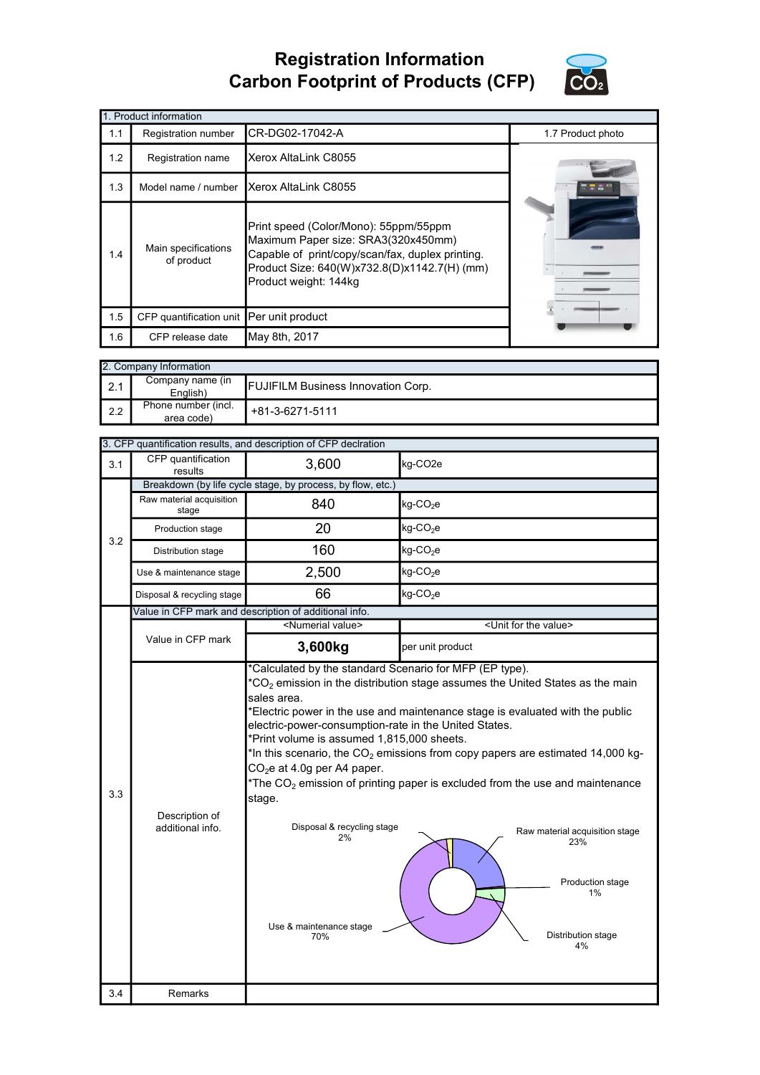## Registration Information Carbon Footprint of Products (CFP)



|     | 1. Product information                   |                                                                                                                                                                                                           |                   |
|-----|------------------------------------------|-----------------------------------------------------------------------------------------------------------------------------------------------------------------------------------------------------------|-------------------|
| 1.1 | Registration number                      | CR-DG02-17042-A                                                                                                                                                                                           | 1.7 Product photo |
| 1.2 | Registration name                        | Xerox AltaLink C8055                                                                                                                                                                                      |                   |
| 1.3 | Model name / number                      | Xerox AltaLink C8055                                                                                                                                                                                      |                   |
| 1.4 | Main specifications<br>of product        | Print speed (Color/Mono): 55ppm/55ppm<br>Maximum Paper size: SRA3(320x450mm)<br>Capable of print/copy/scan/fax, duplex printing.<br>Product Size: 640(W)x732.8(D)x1142.7(H) (mm)<br>Product weight: 144kg |                   |
| 1.5 | CFP quantification unit Per unit product |                                                                                                                                                                                                           |                   |
| 1.6 | CFP release date                         | May 8th, 2017                                                                                                                                                                                             |                   |

|                  | 2. Company Information            |                                           |
|------------------|-----------------------------------|-------------------------------------------|
| $\vert$ 2.1      | Company name (in<br>English)      | <b>FUJIFILM Business Innovation Corp.</b> |
| $\mathsf{I}$ 2.2 | Phone number (incl.<br>area code) | +81-3-6271-5111                           |

|     |                                    | 3. CFP quantification results, and description of CFP declration                                                                                                                                                                   |                                                                                                                                                                                                                                                                                                                                                                                                                                                            |
|-----|------------------------------------|------------------------------------------------------------------------------------------------------------------------------------------------------------------------------------------------------------------------------------|------------------------------------------------------------------------------------------------------------------------------------------------------------------------------------------------------------------------------------------------------------------------------------------------------------------------------------------------------------------------------------------------------------------------------------------------------------|
| 3.1 | CFP quantification<br>results      | 3,600                                                                                                                                                                                                                              | kg-CO2e                                                                                                                                                                                                                                                                                                                                                                                                                                                    |
|     |                                    | Breakdown (by life cycle stage, by process, by flow, etc.)                                                                                                                                                                         |                                                                                                                                                                                                                                                                                                                                                                                                                                                            |
|     | Raw material acquisition<br>stage  | 840                                                                                                                                                                                                                                | kg-CO <sub>2</sub> e                                                                                                                                                                                                                                                                                                                                                                                                                                       |
| 3.2 | Production stage                   | 20                                                                                                                                                                                                                                 | $kg$ -CO <sub>2</sub> e                                                                                                                                                                                                                                                                                                                                                                                                                                    |
|     | Distribution stage                 | 160                                                                                                                                                                                                                                | kg-CO <sub>2</sub> e                                                                                                                                                                                                                                                                                                                                                                                                                                       |
|     | Use & maintenance stage            | 2,500                                                                                                                                                                                                                              | $kg$ -CO <sub>2</sub> e                                                                                                                                                                                                                                                                                                                                                                                                                                    |
|     | Disposal & recycling stage         | 66                                                                                                                                                                                                                                 | kg-CO <sub>2</sub> e                                                                                                                                                                                                                                                                                                                                                                                                                                       |
|     |                                    | Value in CFP mark and description of additional info.                                                                                                                                                                              |                                                                                                                                                                                                                                                                                                                                                                                                                                                            |
|     |                                    | <numerial value=""></numerial>                                                                                                                                                                                                     | <unit for="" the="" value=""></unit>                                                                                                                                                                                                                                                                                                                                                                                                                       |
|     | Value in CFP mark                  | 3,600kg                                                                                                                                                                                                                            | per unit product                                                                                                                                                                                                                                                                                                                                                                                                                                           |
| 3.3 | Description of<br>additional info. | sales area.<br>electric-power-consumption-rate in the United States.<br>*Print volume is assumed 1,815,000 sheets.<br>$CO2e$ at 4.0g per A4 paper.<br>stage.<br>Disposal & recycling stage<br>2%<br>Use & maintenance stage<br>70% | ${}^{\star}CO_{2}$ emission in the distribution stage assumes the United States as the main<br>Electric power in the use and maintenance stage is evaluated with the public<br>*In this scenario, the CO <sub>2</sub> emissions from copy papers are estimated 14,000 kg-<br>*The $CO2$ emission of printing paper is excluded from the use and maintenance<br>Raw material acquisition stage<br>23%<br>Production stage<br>1%<br>Distribution stage<br>4% |
| 3.4 | Remarks                            |                                                                                                                                                                                                                                    |                                                                                                                                                                                                                                                                                                                                                                                                                                                            |